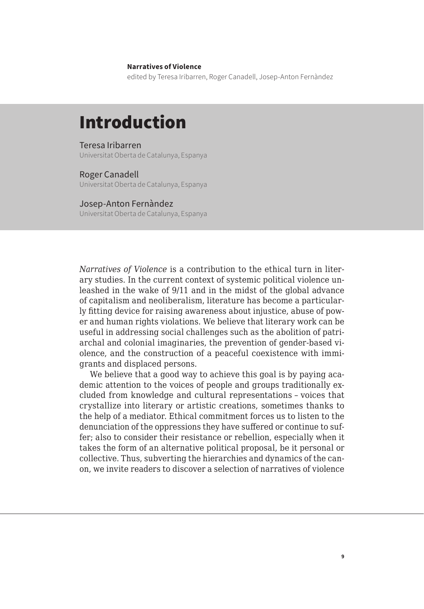## **Narratives of Violence**

edited by Teresa Iribarren, Roger Canadell, Josep-Anton Fernàndez

# Introduction

## Teresa Iribarren

Universitat Oberta de Catalunya, Espanya

## Roger Canadell

Universitat Oberta de Catalunya, Espanya

#### Josep-Anton Fernàndez

Universitat Oberta de Catalunya, Espanya

*Narratives of Violence* is a contribution to the ethical turn in literary studies. In the current context of systemic political violence unleashed in the wake of 9/11 and in the midst of the global advance of capitalism and neoliberalism, literature has become a particularly fitting device for raising awareness about injustice, abuse of power and human rights violations. We believe that literary work can be useful in addressing social challenges such as the abolition of patriarchal and colonial imaginaries, the prevention of gender-based violence, and the construction of a peaceful coexistence with immigrants and displaced persons.

We believe that a good way to achieve this goal is by paying academic attention to the voices of people and groups traditionally excluded from knowledge and cultural representations – voices that crystallize into literary or artistic creations, sometimes thanks to the help of a mediator. Ethical commitment forces us to listen to the denunciation of the oppressions they have suffered or continue to suffer; also to consider their resistance or rebellion, especially when it takes the form of an alternative political proposal, be it personal or collective. Thus, subverting the hierarchies and dynamics of the canon, we invite readers to discover a selection of narratives of violence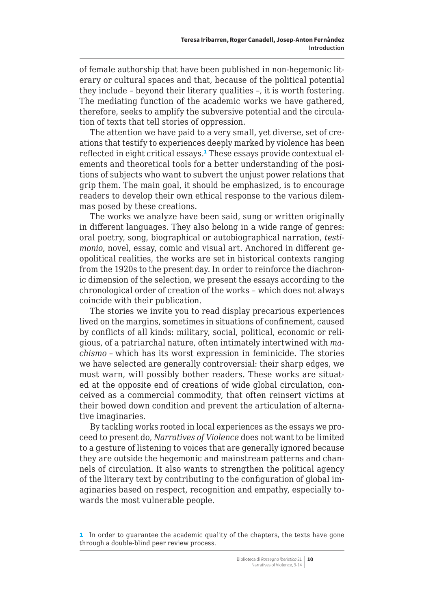of female authorship that have been published in non-hegemonic literary or cultural spaces and that, because of the political potential they include – beyond their literary qualities –, it is worth fostering. The mediating function of the academic works we have gathered, therefore, seeks to amplify the subversive potential and the circulation of texts that tell stories of oppression.

The attention we have paid to a very small, yet diverse, set of creations that testify to experiences deeply marked by violence has been reflected in eight critical essays.<sup>1</sup> These essays provide contextual elements and theoretical tools for a better understanding of the positions of subjects who want to subvert the unjust power relations that grip them. The main goal, it should be emphasized, is to encourage readers to develop their own ethical response to the various dilemmas posed by these creations.

The works we analyze have been said, sung or written originally in different languages. They also belong in a wide range of genres: oral poetry, song, biographical or autobiographical narration, *testimonio*, novel, essay, comic and visual art. Anchored in different geopolitical realities, the works are set in historical contexts ranging from the 1920s to the present day. In order to reinforce the diachronic dimension of the selection, we present the essays according to the chronological order of creation of the works – which does not always coincide with their publication.

The stories we invite you to read display precarious experiences lived on the margins, sometimes in situations of confinement, caused by conflicts of all kinds: military, social, political, economic or religious, of a patriarchal nature, often intimately intertwined with *machismo* – which has its worst expression in feminicide. The stories we have selected are generally controversial: their sharp edges, we must warn, will possibly bother readers. These works are situated at the opposite end of creations of wide global circulation, conceived as a commercial commodity, that often reinsert victims at their bowed down condition and prevent the articulation of alternative imaginaries.

By tackling works rooted in local experiences as the essays we proceed to present do, *Narratives of Violence* does not want to be limited to a gesture of listening to voices that are generally ignored because they are outside the hegemonic and mainstream patterns and channels of circulation. It also wants to strengthen the political agency of the literary text by contributing to the configuration of global imaginaries based on respect, recognition and empathy, especially towards the most vulnerable people.

<sup>1</sup> In order to guarantee the academic quality of the chapters, the texts have gone through a double-blind peer review process.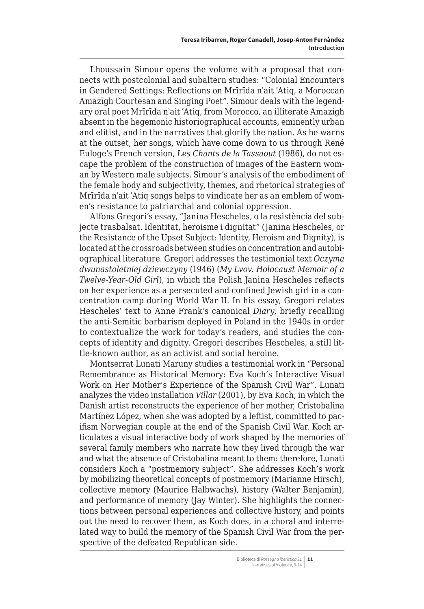Lhoussain Simour opens the volume with a proposal that connects with postcolonial and subaltern studies: "Colonial Encounters in Gendered Settings: Reflections on Mrīrīda nʾait ʿAtiq, a Moroccan Amazīgh Courtesan and Singing Poet". Simour deals with the legendary oral poet Mrīrīda nʾait ʿAtiq, from Morocco, an illiterate Amazigh absent in the hegemonic historiographical accounts, eminently urban and elitist, and in the narratives that glorify the nation. As he warns at the outset, her songs, which have come down to us through René Euloge's French version, *Les Chants de la Tassaout* (1986), do not escape the problem of the construction of images of the Eastern woman by Western male subjects. Simour's analysis of the embodiment of the female body and subjectivity, themes, and rhetorical strategies of Mrīrīda nʾait ʿAtiq songs helps to vindicate her as an emblem of women's resistance to patriarchal and colonial oppression.

Alfons Gregori's essay, "Janina Hescheles, o la resistència del subjecte trasbalsat. Identitat, heroisme i dignitat" (Janina Hescheles, or the Resistance of the Upset Subject: Identity, Heroism and Dignity), is located at the crossroads between studies on concentration and autobiographical literature. Gregori addresses the testimonial text *Oczyma dwunastoletniej dziewczyny* (1946) (*My Lvov. Holocaust Memoir of a Twelve-Year-Old Girl*), in which the Polish Janina Hescheles reflects on her experience as a persecuted and confined Jewish girl in a concentration camp during World War II. In his essay, Gregori relates Hescheles' text to Anne Frank's canonical *Diary*, briefly recalling the anti-Semitic barbarism deployed in Poland in the 1940s in order to contextualize the work for today's readers, and studies the concepts of identity and dignity. Gregori describes Hescheles, a still little-known author, as an activist and social heroine.

Montserrat Lunati Maruny studies a testimonial work in "Personal Remembrance as Historical Memory: Eva Koch's Interactive Visual Work on Her Mother's Experience of the Spanish Civil War". Lunati analyzes the video installation *Villar* (2001), by Eva Koch, in which the Danish artist reconstructs the experience of her mother, Cristobalina Martínez López, when she was adopted by a leftist, committed to pacifism Norwegian couple at the end of the Spanish Civil War. Koch articulates a visual interactive body of work shaped by the memories of several family members who narrate how they lived through the war and what the absence of Cristobalina meant to them: therefore, Lunati considers Koch a "postmemory subject". She addresses Koch's work by mobilizing theoretical concepts of postmemory (Marianne Hirsch), collective memory (Maurice Halbwachs), history (Walter Benjamin), and performance of memory (Jay Winter). She highlights the connections between personal experiences and collective history, and points out the need to recover them, as Koch does, in a choral and interrelated way to build the memory of the Spanish Civil War from the perspective of the defeated Republican side.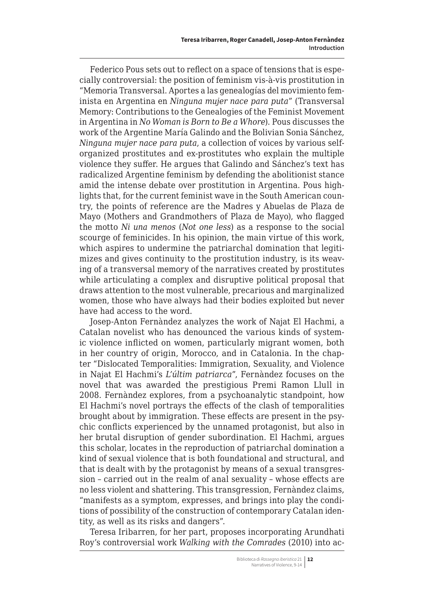Federico Pous sets out to reflect on a space of tensions that is especially controversial: the position of feminism vis-à-vis prostitution in "Memoria Transversal. Aportes a las genealogías del movimiento feminista en Argentina en *Ninguna mujer nace para puta*" (Transversal Memory: Contributions to the Genealogies of the Feminist Movement in Argentina in *No Woman is Born to Be a Whore*). Pous discusses the work of the Argentine María Galindo and the Bolivian Sonia Sánchez, *Ninguna mujer nace para puta*, a collection of voices by various selforganized prostitutes and ex-prostitutes who explain the multiple violence they suffer. He argues that Galindo and Sánchez's text has radicalized Argentine feminism by defending the abolitionist stance amid the intense debate over prostitution in Argentina. Pous highlights that, for the current feminist wave in the South American country, the points of reference are the Madres y Abuelas de Plaza de Mayo (Mothers and Grandmothers of Plaza de Mayo), who flagged the motto *Ni una menos* (*Not one less*) as a response to the social scourge of feminicides. In his opinion, the main virtue of this work, which aspires to undermine the patriarchal domination that legitimizes and gives continuity to the prostitution industry, is its weaving of a transversal memory of the narratives created by prostitutes while articulating a complex and disruptive political proposal that draws attention to the most vulnerable, precarious and marginalized women, those who have always had their bodies exploited but never have had access to the word.

Josep-Anton Fernàndez analyzes the work of Najat El Hachmi, a Catalan novelist who has denounced the various kinds of systemic violence inflicted on women, particularly migrant women, both in her country of origin, Morocco, and in Catalonia. In the chapter "Dislocated Temporalities: Immigration, Sexuality, and Violence in Najat El Hachmi's *L'últim patriarca*", Fernàndez focuses on the novel that was awarded the prestigious Premi Ramon Llull in 2008. Fernàndez explores, from a psychoanalytic standpoint, how El Hachmi's novel portrays the effects of the clash of temporalities brought about by immigration. These effects are present in the psychic conflicts experienced by the unnamed protagonist, but also in her brutal disruption of gender subordination. El Hachmi, argues this scholar, locates in the reproduction of patriarchal domination a kind of sexual violence that is both foundational and structural, and that is dealt with by the protagonist by means of a sexual transgression – carried out in the realm of anal sexuality – whose effects are no less violent and shattering. This transgression, Fernàndez claims, "manifests as a symptom, expresses, and brings into play the conditions of possibility of the construction of contemporary Catalan identity, as well as its risks and dangers".

Teresa Iribarren, for her part, proposes incorporating Arundhati Roy's controversial work *Walking with the Comrades* (2010) into ac-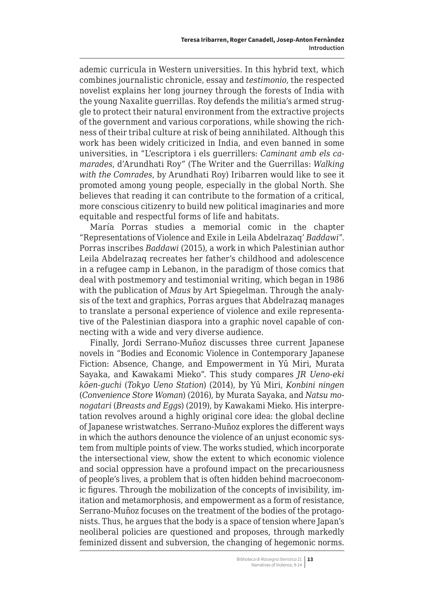ademic curricula in Western universities. In this hybrid text, which combines journalistic chronicle, essay and *testimonio*, the respected novelist explains her long journey through the forests of India with the young Naxalite guerrillas. Roy defends the militia's armed struggle to protect their natural environment from the extractive projects of the government and various corporations, while showing the richness of their tribal culture at risk of being annihilated. Although this work has been widely criticized in India, and even banned in some universities, in "L'escriptora i els guerrillers: *Caminant amb els camarades*, d'Arundhati Roy" (The Writer and the Guerrillas: *Walking with the Comrades*, by Arundhati Roy) Iribarren would like to see it promoted among young people, especially in the global North. She believes that reading it can contribute to the formation of a critical, more conscious citizenry to build new political imaginaries and more equitable and respectful forms of life and habitats.

María Porras studies a memorial comic in the chapter "Representations of Violence and Exile in Leila Abdelrazaq' *Baddawi*". Porras inscribes *Baddawi* (2015), a work in which Palestinian author Leila Abdelrazaq recreates her father's childhood and adolescence in a refugee camp in Lebanon, in the paradigm of those comics that deal with postmemory and testimonial writing, which began in 1986 with the publication of *Maus* by Art Spiegelman. Through the analysis of the text and graphics, Porras argues that Abdelrazaq manages to translate a personal experience of violence and exile representative of the Palestinian diaspora into a graphic novel capable of connecting with a wide and very diverse audience.

Finally, Jordi Serrano-Muñoz discusses three current Japanese novels in "Bodies and Economic Violence in Contemporary Japanese Fiction: Absence, Change, and Empowerment in Yū Miri, Murata Sayaka, and Kawakami Mieko". This study compares *JR Ueno-eki kōen-guchi* (*Tokyo Ueno Station*) (2014), by Yū Miri, *Konbini ningen*  (*Convenience Store Woman*) (2016), by Murata Sayaka, and *Natsu monogatari* (*Breasts and Eggs*) (2019), by Kawakami Mieko. His interpretation revolves around a highly original core idea: the global decline of Japanese wristwatches. Serrano-Muñoz explores the different ways in which the authors denounce the violence of an unjust economic system from multiple points of view. The works studied, which incorporate the intersectional view, show the extent to which economic violence and social oppression have a profound impact on the precariousness of people's lives, a problem that is often hidden behind macroeconomic figures. Through the mobilization of the concepts of invisibility, imitation and metamorphosis, and empowerment as a form of resistance, Serrano-Muñoz focuses on the treatment of the bodies of the protagonists. Thus, he argues that the body is a space of tension where Japan's neoliberal policies are questioned and proposes, through markedly feminized dissent and subversion, the changing of hegemonic norms.